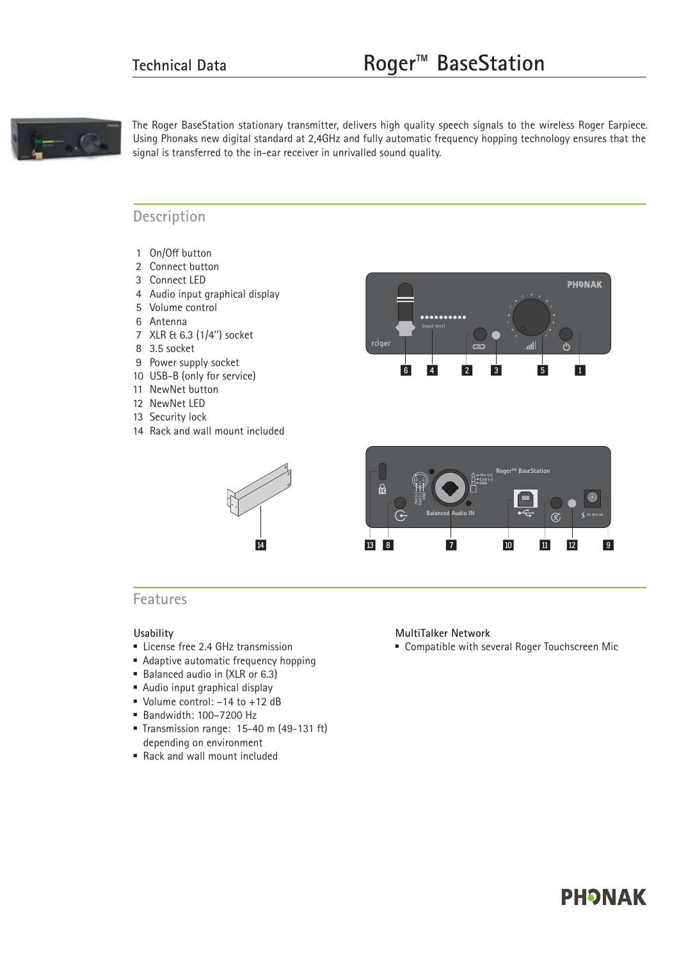

The Roger BaseStation stationary transmitter, delivers high quality speech signals to the wireless Roger Earpiece. Using Phonaks new digital standard at 2,4GHz and fully automatic frequency hopping technology ensures that the signal is transferred to the in-ear receiver in unrivalled sound quality.

### **Description**

- 1 On/Off button
- 2 Connect button
- 3 Connect LED
- 4 Audio input graphical display
- 5 Volume control
- 6 Antenna
- 7 XLR & 6.3 (1/4'') socket
- 8 3.5 socket
- 9 Power supply socket
- 10 USB-B (only for service)
- 11 NewNet button
- 12 NewNet LED
- 13 Security lock
- 14 Rack and wall mount included





### **Features**

#### **Usability**

- **Exercise free 2.4 GHz transmission**
- **Adaptive automatic frequency hopping**
- Balanced audio in (XLR or 6.3)
- Audio input graphical display
- Updame control: -14 to +12 dB
- Bandwidth: 100–7200 Hz
- Transmission range: 15-40 m (49-131 ft) depending on environment

#### - Rack and wall mount included

#### **MultiTalker Network**

**Exampatible with several Roger Touchscreen Mic** 

# **PHONAK**